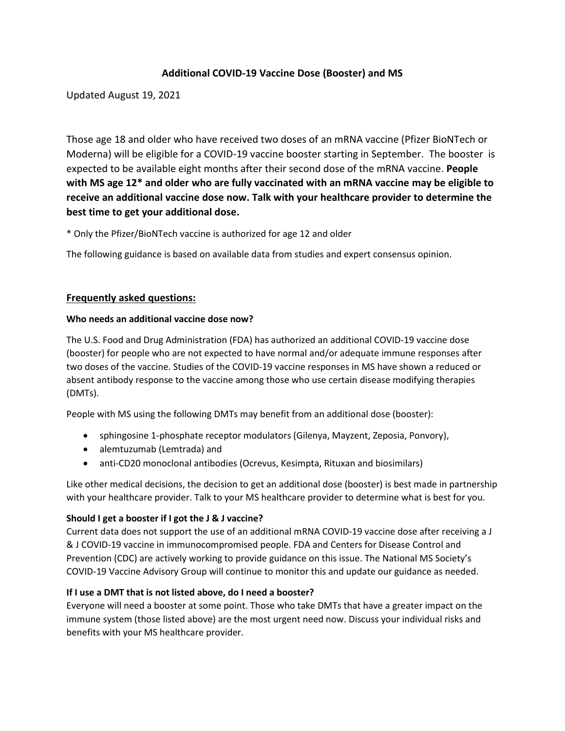# **Additional COVID-19 Vaccine Dose (Booster) and MS**

Updated August 19, 2021

Those age 18 and older who have received two doses of an mRNA vaccine (Pfizer BioNTech or Moderna) will be eligible for a COVID-19 vaccine booster starting in September. The booster is expected to be available eight months after their second dose of the mRNA vaccine. **People with MS age 12\* and older who are fully vaccinated with an mRNA vaccine may be eligible to receive an additional vaccine dose now. Talk with your healthcare provider to determine the best time to get your additional dose.** 

\* Only the Pfizer/BioNTech vaccine is authorized for age 12 and older

The following guidance is based on available data from studies and expert consensus opinion.

## **Frequently asked questions:**

## **Who needs an additional vaccine dose now?**

The U.S. Food and Drug Administration (FDA) has authorized an additional COVID-19 vaccine dose (booster) for people who are not expected to have normal and/or adequate immune responses after two doses of the vaccine. Studies of the COVID-19 vaccine responses in MS have shown a reduced or absent antibody response to the vaccine among those who use certain disease modifying therapies (DMTs).

People with MS using the following DMTs may benefit from an additional dose (booster):

- sphingosine 1-phosphate receptor modulators (Gilenya, Mayzent, Zeposia, Ponvory),
- alemtuzumab (Lemtrada) and
- anti-CD20 monoclonal antibodies (Ocrevus, Kesimpta, Rituxan and biosimilars)

Like other medical decisions, the decision to get an additional dose (booster) is best made in partnership with your healthcare provider. Talk to your MS healthcare provider to determine what is best for you.

## **Should I get a booster if I got the J & J vaccine?**

Current data does not support the use of an additional mRNA COVID-19 vaccine dose after receiving a J & J COVID-19 vaccine in immunocompromised people. FDA and Centers for Disease Control and Prevention (CDC) are actively working to provide guidance on this issue. The National MS Society's COVID-19 Vaccine Advisory Group will continue to monitor this and update our guidance as needed.

## **If I use a DMT that is not listed above, do I need a booster?**

Everyone will need a booster at some point. Those who take DMTs that have a greater impact on the immune system (those listed above) are the most urgent need now. Discuss your individual risks and benefits with your MS healthcare provider.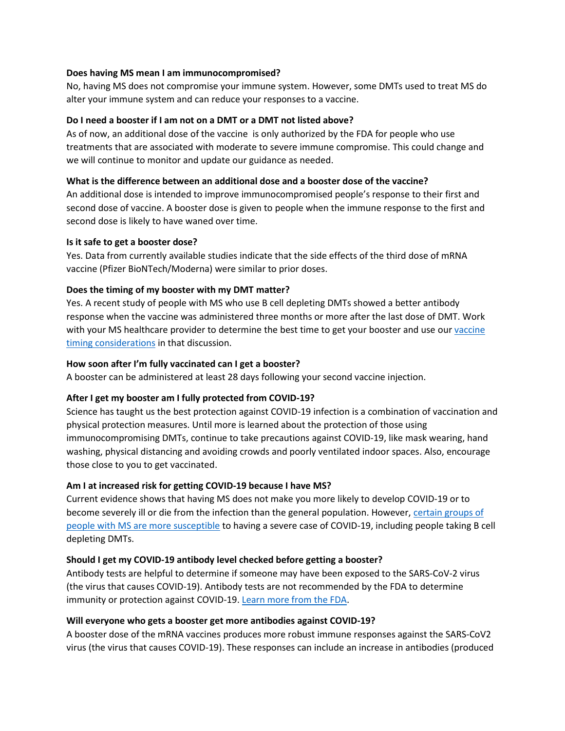#### **Does having MS mean I am immunocompromised?**

No, having MS does not compromise your immune system. However, some DMTs used to treat MS do alter your immune system and can reduce your responses to a vaccine.

## **Do I need a booster if I am not on a DMT or a DMT not listed above?**

As of now, an additional dose of the vaccine is only authorized by the FDA for people who use treatments that are associated with moderate to severe immune compromise. This could change and we will continue to monitor and update our guidance as needed.

#### **What is the difference between an additional dose and a booster dose of the vaccine?**

An additional dose is intended to improve immunocompromised people's response to their first and second dose of vaccine. A booster dose is given to people when the immune response to the first and second dose is likely to have waned over time.

#### **Is it safe to get a booster dose?**

Yes. Data from currently available studies indicate that the side effects of the third dose of mRNA vaccine (Pfizer BioNTech/Moderna) were similar to prior doses.

## **Does the timing of my booster with my DMT matter?**

Yes. A recent study of people with MS who use B cell depleting DMTs showed a better antibody response when the vaccine was administered three months or more after the last dose of DMT. Work with your MS healthcare provider to determine the best time to get your booster and use ou[r vaccine](https://www.nationalmssociety.org/coronavirus-covid-19-information/multiple-sclerosis-and-coronavirus/covid-19-vaccine-guidance/Timing-MS-Medications-with-COVID-19-Vaccines)  [timing considerations](https://www.nationalmssociety.org/coronavirus-covid-19-information/multiple-sclerosis-and-coronavirus/covid-19-vaccine-guidance/Timing-MS-Medications-with-COVID-19-Vaccines) in that discussion.

#### **How soon after I'm fully vaccinated can I get a booster?**

A booster can be administered at least 28 days following your second vaccine injection.

## **After I get my booster am I fully protected from COVID-19?**

Science has taught us the best protection against COVID-19 infection is a combination of vaccination and physical protection measures. Until more is learned about the protection of those using immunocompromising DMTs, continue to take precautions against COVID-19, like mask wearing, hand washing, physical distancing and avoiding crowds and poorly ventilated indoor spaces. Also, encourage those close to you to get vaccinated.

## **Am I at increased risk for getting COVID-19 because I have MS?**

Current evidence shows that having MS does not make you more likely to develop COVID-19 or to become severely ill or die from the infection than the general population. However, certain groups of [people with MS are more susceptible](https://www.nationalmssociety.org/coronavirus-covid-19-information/multiple-sclerosis-and-coronavirus#section-0) to having a severe case of COVID-19, including people taking B cell depleting DMTs.

## **Should I get my COVID-19 antibody level checked before getting a booster?**

Antibody tests are helpful to determine if someone may have been exposed to the SARS-CoV-2 virus (the virus that causes COVID-19). Antibody tests are not recommended by the FDA to determine immunity or protection against COVID-19. [Learn more from the FDA.](https://www.fda.gov/news-events/press-announcements/fda-brief-fda-advises-against-use-sars-cov-2-antibody-test-results-evaluate-immunity-or-protection)

#### **Will everyone who gets a booster get more antibodies against COVID-19?**

A booster dose of the mRNA vaccines produces more robust immune responses against the SARS-CoV2 virus (the virus that causes COVID-19). These responses can include an increase in antibodies (produced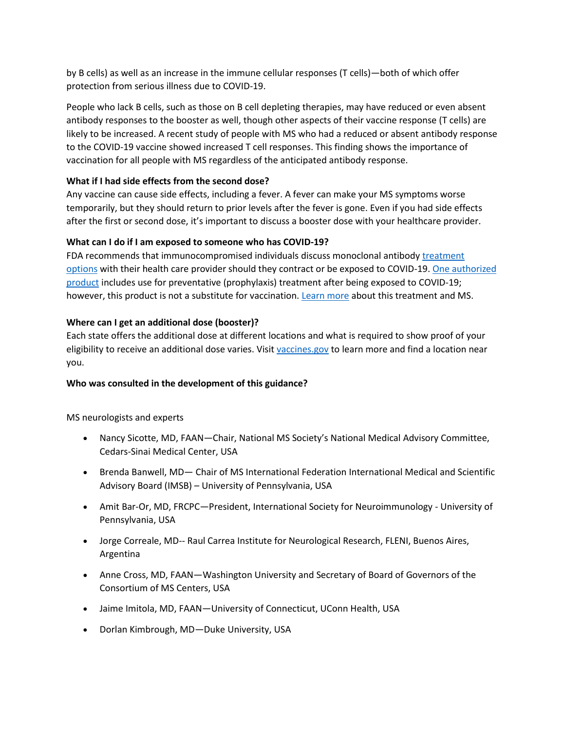by B cells) as well as an increase in the immune cellular responses (T cells)—both of which offer protection from serious illness due to COVID-19.

People who lack B cells, such as those on B cell depleting therapies, may have reduced or even absent antibody responses to the booster as well, though other aspects of their vaccine response (T cells) are likely to be increased. A recent study of people with MS who had a reduced or absent antibody response to the COVID-19 vaccine showed increased T cell responses. This finding shows the importance of vaccination for all people with MS regardless of the anticipated antibody response.

## **What if I had side effects from the second dose?**

Any vaccine can cause side effects, including a fever. A fever can make your MS symptoms worse temporarily, but they should return to prior levels after the fever is gone. Even if you had side effects after the first or second dose, it's important to discuss a booster dose with your healthcare provider.

## **What can I do if I am exposed to someone who has COVID-19?**

FDA recommends that immunocompromised individuals discuss monoclonal antibody [treatment](https://www.fda.gov/consumers/consumer-updates/know-your-treatment-options-covid-19)  [options](https://www.fda.gov/consumers/consumer-updates/know-your-treatment-options-covid-19) with their health care provider should they contract or be exposed to COVID-19[. One authorized](https://www.fda.gov/drugs/drug-safety-and-availability/fda-authorizes-regen-cov-monoclonal-antibody-therapy-post-exposure-prophylaxis-prevention-covid-19)  [product](https://www.fda.gov/drugs/drug-safety-and-availability/fda-authorizes-regen-cov-monoclonal-antibody-therapy-post-exposure-prophylaxis-prevention-covid-19) includes use for preventative (prophylaxis) treatment after being exposed to COVID-19; however, this product is not a substitute for vaccination. [Learn more](https://www.nationalmssociety.org/About-the-Society/News/FDA-authorizes-REGEN-COV-for-post-exposure-prophyl) about this treatment and MS.

## **Where can I get an additional dose (booster)?**

Each state offers the additional dose at different locations and what is required to show proof of your eligibility to receive an additional dose varies. Visit [vaccines.gov](https://www.vaccines.gov/) to learn more and find a location near you.

## **Who was consulted in the development of this guidance?**

MS neurologists and experts

- Nancy Sicotte, MD, FAAN—Chair, National MS Society's National Medical Advisory Committee, Cedars-Sinai Medical Center, USA
- Brenda Banwell, MD— Chair of MS International Federation International Medical and Scientific Advisory Board (IMSB) – University of Pennsylvania, USA
- Amit Bar-Or, MD, FRCPC—President, International Society for Neuroimmunology University of Pennsylvania, USA
- Jorge Correale, MD-- Raul Carrea Institute for Neurological Research, FLENI, Buenos Aires, Argentina
- Anne Cross, MD, FAAN—Washington University and Secretary of Board of Governors of the Consortium of MS Centers, USA
- Jaime Imitola, MD, FAAN—University of Connecticut, UConn Health, USA
- Dorlan Kimbrough, MD-Duke University, USA